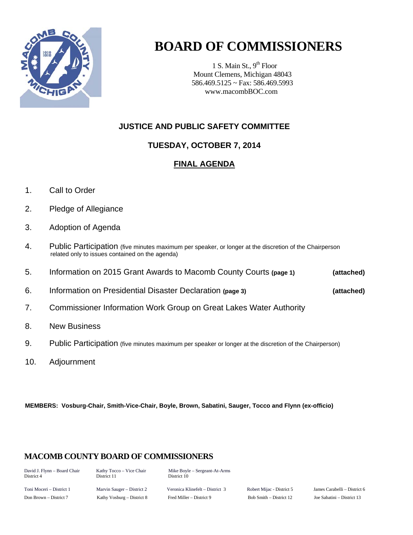

# **BOARD OF COMMISSIONERS**

1 S. Main St.,  $9<sup>th</sup>$  Floor Mount Clemens, Michigan 48043 586.469.5125 ~ Fax: 586.469.5993 www.macombBOC.com

## **JUSTICE AND PUBLIC SAFETY COMMITTEE**

## **TUESDAY, OCTOBER 7, 2014**

## **FINAL AGENDA**

- 1. Call to Order
- 2. Pledge of Allegiance
- 3. Adoption of Agenda
- 4. Public Participation (five minutes maximum per speaker, or longer at the discretion of the Chairperson related only to issues contained on the agenda)
- 5. Information on 2015 Grant Awards to Macomb County Courts **(page 1) (attached)**
- 6. Information on Presidential Disaster Declaration **(page 3) (attached)**
- 7. Commissioner Information Work Group on Great Lakes Water Authority
- 8. New Business
- 9. Public Participation (five minutes maximum per speaker or longer at the discretion of the Chairperson)
- 10. Adjournment

**MEMBERS: Vosburg-Chair, Smith-Vice-Chair, Boyle, Brown, Sabatini, Sauger, Tocco and Flynn (ex-officio)** 

#### **MACOMB COUNTY BOARD OF COMMISSIONERS**

District 11 District 10

David J. Flynn – Board Chair Kathy Tocco – Vice Chair Mike Boyle – Sergeant-At-Arms<br>District 4 District 11 District 10

Toni Moceri – District 1 Marvin Sauger – District 2 Veronica Klinefelt – District 3 Robert Mijac - District 5 James Carabelli – District 6 Don Brown – District 7 Kathy Vosburg – District 8 Fred Miller – District 9 Bob Smith – District 12 Joe Sabatini – District 13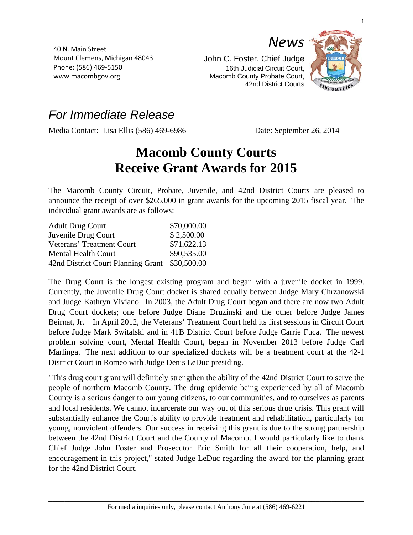*News* Mexical Algorithm Algorithm Mexical Algorithm Mexical Algorithm Mexical Algorithm Mexical Algorithm Mexical Algorithm Mexical Algorithm Mexical Algorithm Mexical Algorithm Mexical Algorithm Mexical Algorithm Mexic Mount Clemens, Michigan 48043 Phone: (586) 469‐5150 www.macombgov.org

John C. Foster, Chief Judge 16th Judicial Circuit Court, Macomb County Probate Court, 42nd District Courts



# *For Immediate Release*

Media Contact: Lisa Ellis (586) 469-6986 Date: September 26, 2014

# **Macomb County Courts Receive Grant Awards for 2015**

The Macomb County Circuit, Probate, Juvenile, and 42nd District Courts are pleased to announce the receipt of over \$265,000 in grant awards for the upcoming 2015 fiscal year. The individual grant awards are as follows:

| <b>Adult Drug Court</b>                        | \$70,000.00 |
|------------------------------------------------|-------------|
| Juvenile Drug Court                            | \$2,500.00  |
| Veterans' Treatment Court                      | \$71,622.13 |
| <b>Mental Health Court</b>                     | \$90,535.00 |
| 42nd District Court Planning Grant \$30,500.00 |             |

The Drug Court is the longest existing program and began with a juvenile docket in 1999. Currently, the Juvenile Drug Court docket is shared equally between Judge Mary Chrzanowski and Judge Kathryn Viviano. In 2003, the Adult Drug Court began and there are now two Adult Drug Court dockets; one before Judge Diane Druzinski and the other before Judge James Beirnat, Jr. In April 2012, the Veterans' Treatment Court held its first sessions in Circuit Court before Judge Mark Switalski and in 41B District Court before Judge Carrie Fuca. The newest problem solving court, Mental Health Court, began in November 2013 before Judge Carl Marlinga. The next addition to our specialized dockets will be a treatment court at the 42-1 District Court in Romeo with Judge Denis LeDuc presiding.

"This drug court grant will definitely strengthen the ability of the 42nd District Court to serve the people of northern Macomb County. The drug epidemic being experienced by all of Macomb County is a serious danger to our young citizens, to our communities, and to ourselves as parents and local residents. We cannot incarcerate our way out of this serious drug crisis. This grant will substantially enhance the Court's ability to provide treatment and rehabilitation, particularly for young, nonviolent offenders. Our success in receiving this grant is due to the strong partnership between the 42nd District Court and the County of Macomb. I would particularly like to thank Chief Judge John Foster and Prosecutor Eric Smith for all their cooperation, help, and encouragement in this project," stated Judge LeDuc regarding the award for the planning grant for the 42nd District Court.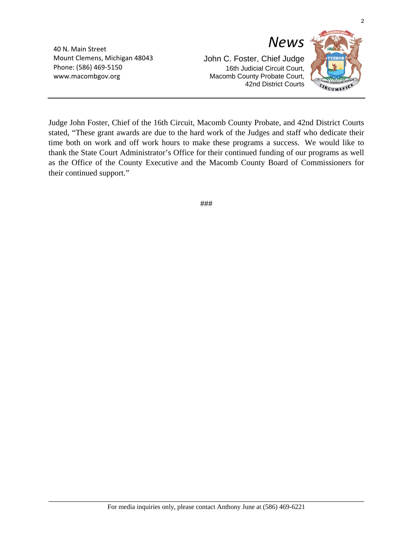Mount Clemens, Michigan 48043 Phone: (586) 469‐5150 www.macombgov.org





Judge John Foster, Chief of the 16th Circuit, Macomb County Probate, and 42nd District Courts stated, "These grant awards are due to the hard work of the Judges and staff who dedicate their time both on work and off work hours to make these programs a success. We would like to thank the State Court Administrator's Office for their continued funding of our programs as well as the Office of the County Executive and the Macomb County Board of Commissioners for their continued support."

###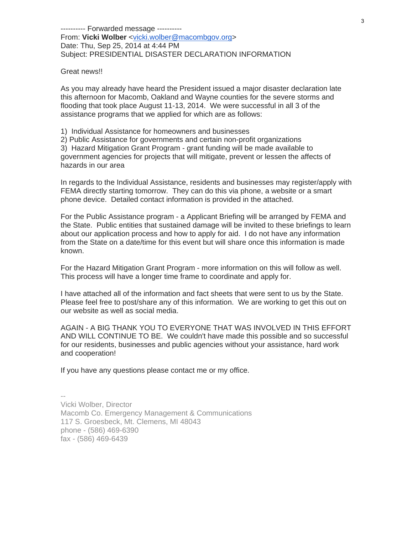---------- Forwarded message ---------- From: **Vicki Wolber** [<vicki.wolber@macombgov.org](mailto:vicki.wolber@macombgov.org)> Date: Thu, Sep 25, 2014 at 4:44 PM Subject: PRESIDENTIAL DISASTER DECLARATION INFORMATION

Great news!!

As you may already have heard the President issued a major disaster declaration late this afternoon for Macomb, Oakland and Wayne counties for the severe storms and flooding that took place August 11-13, 2014. We were successful in all 3 of the assistance programs that we applied for which are as follows:

1) Individual Assistance for homeowners and businesses

2) Public Assistance for governments and certain non-profit organizations

3) Hazard Mitigation Grant Program - grant funding will be made available to government agencies for projects that will mitigate, prevent or lessen the affects of hazards in our area

In regards to the Individual Assistance, residents and businesses may register/apply with FEMA directly starting tomorrow. They can do this via phone, a website or a smart phone device. Detailed contact information is provided in the attached.

For the Public Assistance program - a Applicant Briefing will be arranged by FEMA and the State. Public entities that sustained damage will be invited to these briefings to learn about our application process and how to apply for aid. I do not have any information from the State on a date/time for this event but will share once this information is made known.

For the Hazard Mitigation Grant Program - more information on this will follow as well. This process will have a longer time frame to coordinate and apply for.

I have attached all of the information and fact sheets that were sent to us by the State. Please feel free to post/share any of this information. We are working to get this out on our website as well as social media.

AGAIN - A BIG THANK YOU TO EVERYONE THAT WAS INVOLVED IN THIS EFFORT AND WILL CONTINUE TO BE. We couldn't have made this possible and so successful for our residents, businesses and public agencies without your assistance, hard work and cooperation!

If you have any questions please contact me or my office.

-- Vicki Wolber, Director Macomb Co. Emergency Management & Communications 117 S. Groesbeck, Mt. Clemens, MI 48043 phone - (586) 469-6390 fax - (586) 469-6439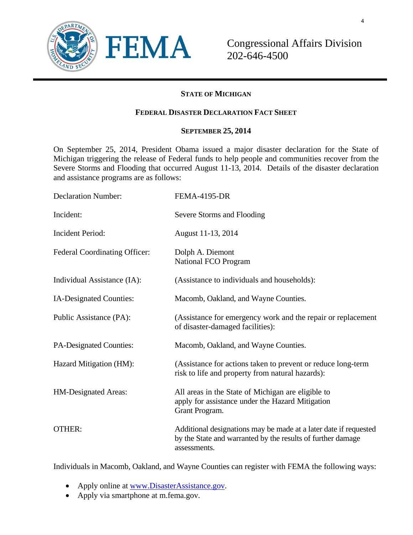



Congressional Affairs Division 202-646-4500

#### **STATE OF MICHIGAN**

#### **FEDERAL DISASTER DECLARATION FACT SHEET**

#### **SEPTEMBER 25, 2014**

On September 25, 2014, President Obama issued a major disaster declaration for the State of Michigan triggering the release of Federal funds to help people and communities recover from the Severe Storms and Flooding that occurred August 11-13, 2014. Details of the disaster declaration and assistance programs are as follows:

| <b>Declaration Number:</b>    | <b>FEMA-4195-DR</b>                                                                                                                             |
|-------------------------------|-------------------------------------------------------------------------------------------------------------------------------------------------|
| Incident:                     | Severe Storms and Flooding                                                                                                                      |
| <b>Incident Period:</b>       | August 11-13, 2014                                                                                                                              |
| Federal Coordinating Officer: | Dolph A. Diemont<br>National FCO Program                                                                                                        |
| Individual Assistance (IA):   | (Assistance to individuals and households):                                                                                                     |
| IA-Designated Counties:       | Macomb, Oakland, and Wayne Counties.                                                                                                            |
| Public Assistance (PA):       | (Assistance for emergency work and the repair or replacement<br>of disaster-damaged facilities):                                                |
| PA-Designated Counties:       | Macomb, Oakland, and Wayne Counties.                                                                                                            |
| Hazard Mitigation (HM):       | (Assistance for actions taken to prevent or reduce long-term<br>risk to life and property from natural hazards):                                |
| HM-Designated Areas:          | All areas in the State of Michigan are eligible to<br>apply for assistance under the Hazard Mitigation<br>Grant Program.                        |
| <b>OTHER:</b>                 | Additional designations may be made at a later date if requested<br>by the State and warranted by the results of further damage<br>assessments. |

Individuals in Macomb, Oakland, and Wayne Counties can register with FEMA the following ways:

- Apply online at [www.DisasterAssistance.gov](http://www.disasterassistance.gov/).
- Apply via smartphone at m.fema.gov.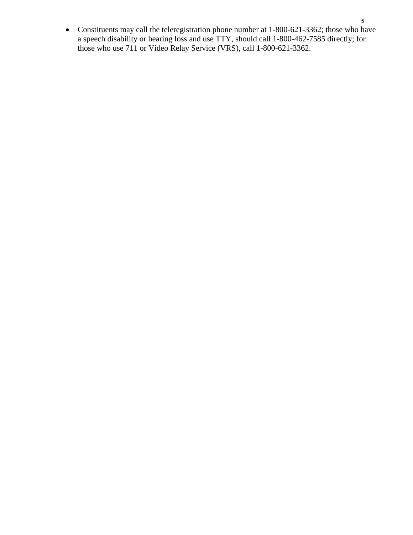• Constituents may call the teleregistration phone number at 1-800-621-3362; those who have a speech disability or hearing loss and use TTY, should call 1-800-462-7585 directly; for those who use 711 or Video Relay Service (VRS), call 1-800-621-3362.

5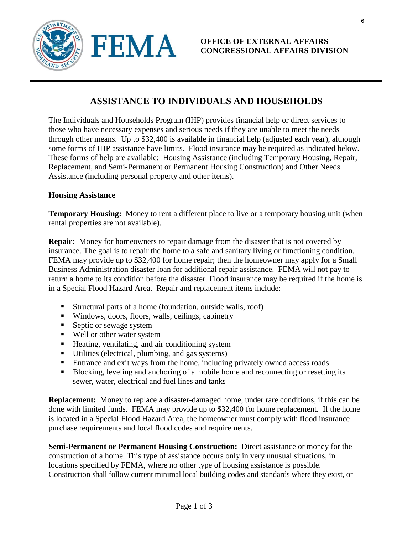



6

# **ASSISTANCE TO INDIVIDUALS AND HOUSEHOLDS**

The Individuals and Households Program (IHP) provides financial help or direct services to those who have necessary expenses and serious needs if they are unable to meet the needs through other means. Up to \$32,400 is available in financial help (adjusted each year), although some forms of IHP assistance have limits. Flood insurance may be required as indicated below. These forms of help are available: Housing Assistance (including Temporary Housing, Repair, Replacement, and Semi-Permanent or Permanent Housing Construction) and Other Needs Assistance (including personal property and other items).

#### **Housing Assistance**

**Temporary Housing:** Money to rent a different place to live or a temporary housing unit (when rental properties are not available).

**Repair:** Money for homeowners to repair damage from the disaster that is not covered by insurance. The goal is to repair the home to a safe and sanitary living or functioning condition. FEMA may provide up to \$32,400 for home repair; then the homeowner may apply for a Small Business Administration disaster loan for additional repair assistance. FEMA will not pay to return a home to its condition before the disaster. Flood insurance may be required if the home is in a Special Flood Hazard Area. Repair and replacement items include:

- Structural parts of a home (foundation, outside walls, roof)
- Windows, doors, floors, walls, ceilings, cabinetry
- Septic or sewage system
- Well or other water system
- Heating, ventilating, and air conditioning system
- Utilities (electrical, plumbing, and gas systems)
- **Entrance and exit ways from the home, including privately owned access roads**
- Blocking, leveling and anchoring of a mobile home and reconnecting or resetting its sewer, water, electrical and fuel lines and tanks

**Replacement:** Money to replace a disaster-damaged home, under rare conditions, if this can be done with limited funds. FEMA may provide up to \$32,400 for home replacement. If the home is located in a Special Flood Hazard Area, the homeowner must comply with flood insurance purchase requirements and local flood codes and requirements.

**Semi-Permanent or Permanent Housing Construction:** Direct assistance or money for the construction of a home. This type of assistance occurs only in very unusual situations, in locations specified by FEMA, where no other type of housing assistance is possible. Construction shall follow current minimal local building codes and standards where they exist, or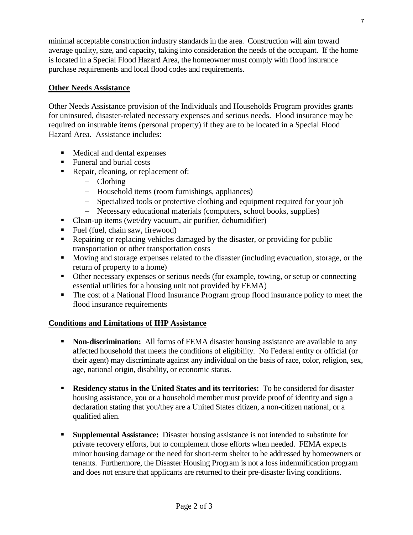minimal acceptable construction industry standards in the area. Construction will aim toward average quality, size, and capacity, taking into consideration the needs of the occupant. If the home is located in a Special Flood Hazard Area, the homeowner must comply with flood insurance purchase requirements and local flood codes and requirements.

#### **Other Needs Assistance**

Other Needs Assistance provision of the Individuals and Households Program provides grants for uninsured, disaster-related necessary expenses and serious needs. Flood insurance may be required on insurable items (personal property) if they are to be located in a Special Flood Hazard Area. Assistance includes:

- Medical and dental expenses
- Funeral and burial costs
- Repair, cleaning, or replacement of:
	- − Clothing
	- − Household items (room furnishings, appliances)
	- − Specialized tools or protective clothing and equipment required for your job
	- − Necessary educational materials (computers, school books, supplies)
- Clean-up items (wet/dry vacuum, air purifier, dehumidifier)
- Fuel (fuel, chain saw, firewood)
- Repairing or replacing vehicles damaged by the disaster, or providing for public transportation or other transportation costs
- Moving and storage expenses related to the disaster (including evacuation, storage, or the return of property to a home)
- Other necessary expenses or serious needs (for example, towing, or setup or connecting essential utilities for a housing unit not provided by FEMA)
- The cost of a National Flood Insurance Program group flood insurance policy to meet the flood insurance requirements

#### **Conditions and Limitations of IHP Assistance**

- **Non-discrimination:** All forms of FEMA disaster housing assistance are available to any affected household that meets the conditions of eligibility. No Federal entity or official (or their agent) may discriminate against any individual on the basis of race, color, religion, sex, age, national origin, disability, or economic status.
- **Residency status in the United States and its territories:** To be considered for disaster housing assistance, you or a household member must provide proof of identity and sign a declaration stating that you/they are a United States citizen, a non-citizen national, or a qualified alien.
- **Supplemental Assistance:** Disaster housing assistance is not intended to substitute for private recovery efforts, but to complement those efforts when needed. FEMA expects minor housing damage or the need for short-term shelter to be addressed by homeowners or tenants. Furthermore, the Disaster Housing Program is not a loss indemnification program and does not ensure that applicants are returned to their pre-disaster living conditions.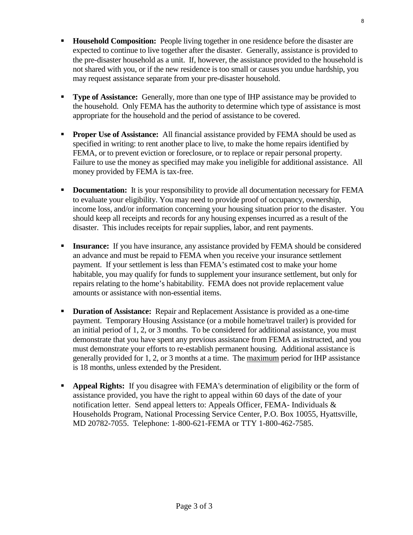- **Household Composition:** People living together in one residence before the disaster are expected to continue to live together after the disaster. Generally, assistance is provided to the pre-disaster household as a unit. If, however, the assistance provided to the household is not shared with you, or if the new residence is too small or causes you undue hardship, you may request assistance separate from your pre-disaster household.
- **Type of Assistance:** Generally, more than one type of IHP assistance may be provided to the household. Only FEMA has the authority to determine which type of assistance is most appropriate for the household and the period of assistance to be covered.
- **Proper Use of Assistance:** All financial assistance provided by FEMA should be used as specified in writing: to rent another place to live, to make the home repairs identified by FEMA, or to prevent eviction or foreclosure, or to replace or repair personal property. Failure to use the money as specified may make you ineligible for additional assistance. All money provided by FEMA is tax-free.
- **Documentation:** It is your responsibility to provide all documentation necessary for FEMA to evaluate your eligibility. You may need to provide proof of occupancy, ownership, income loss, and/or information concerning your housing situation prior to the disaster. You should keep all receipts and records for any housing expenses incurred as a result of the disaster. This includes receipts for repair supplies, labor, and rent payments.
- **Insurance:** If you have insurance, any assistance provided by FEMA should be considered an advance and must be repaid to FEMA when you receive your insurance settlement payment. If your settlement is less than FEMA's estimated cost to make your home habitable, you may qualify for funds to supplement your insurance settlement, but only for repairs relating to the home's habitability. FEMA does not provide replacement value amounts or assistance with non-essential items.
- **Duration of Assistance:** Repair and Replacement Assistance is provided as a one-time payment. Temporary Housing Assistance (or a mobile home/travel trailer) is provided for an initial period of 1, 2, or 3 months. To be considered for additional assistance, you must demonstrate that you have spent any previous assistance from FEMA as instructed, and you must demonstrate your efforts to re-establish permanent housing. Additional assistance is generally provided for 1, 2, or 3 months at a time. The maximum period for IHP assistance is 18 months, unless extended by the President.
- **Appeal Rights:** If you disagree with FEMA's determination of eligibility or the form of assistance provided, you have the right to appeal within 60 days of the date of your notification letter. Send appeal letters to: Appeals Officer, FEMA- Individuals  $\&$ Households Program, National Processing Service Center, P.O. Box 10055, Hyattsville, MD 20782-7055. Telephone: 1-800-621-FEMA or TTY 1-800-462-7585.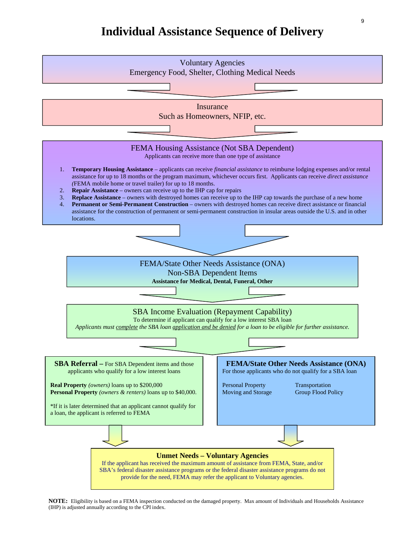# **Individual Assistance Sequence of Delivery**



**NOTE:** Eligibility is based on a FEMA inspection conducted on the damaged property. Max amount of Individuals and Households Assistance (IHP) is adjusted annually according to the CPI index.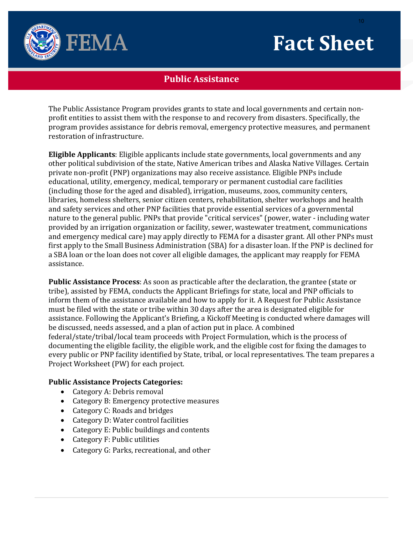# **Fact Sheet**



## **Public Assistance**

The Public Assistance Program provides grants to state and local governments and certain nonprofit entities to assist them with the response to and recovery from disasters. Specifically, the program provides assistance for debris removal, emergency protective measures, and permanent restoration of infrastructure.

**Eligible Applicants**: Eligible applicants include state governments, local governments and any other political subdivision of the state, Native American tribes and Alaska Native Villages. Certain private non-profit (PNP) organizations may also receive assistance. Eligible PNPs include educational, utility, emergency, medical, temporary or permanent custodial care facilities (including those for the aged and disabled), irrigation, museums, zoos, community centers, libraries, homeless shelters, senior citizen centers, rehabilitation, shelter workshops and health and safety services and other PNP facilities that provide essential services of a governmental nature to the general public. PNPs that provide "critical services" (power, water - including water provided by an irrigation organization or facility, sewer, wastewater treatment, communications and emergency medical care) may apply directly to FEMA for a disaster grant. All other PNPs must first apply to the Small Business Administration (SBA) for a disaster loan. If the PNP is declined for a SBA loan or the loan does not cover all eligible damages, the applicant may reapply for FEMA assistance.

**Public Assistance Process**: As soon as practicable after the declaration, the grantee (state or tribe), assisted by FEMA, conducts the Applicant Briefings for state, local and PNP officials to inform them of the assistance available and how to apply for it. A Request for Public Assistance must be filed with the state or tribe within 30 days after the area is designated eligible for assistance. Following the Applicant's Briefing, a Kickoff Meeting is conducted where damages will be discussed, needs assessed, and a plan of action put in place. A combined federal/state/tribal/local team proceeds with Project Formulation, which is the process of documenting the eligible facility, the eligible work, and the eligible cost for fixing the damages to every public or PNP facility identified by State, tribal, or local representatives. The team prepares a Project Worksheet (PW) for each project.

#### **Public Assistance Projects Categories:**

- Category A: Debris removal
- Category B: Emergency protective measures
- Category C: Roads and bridges
- Category D: Water control facilities
- Category E: Public buildings and contents
- Category F: Public utilities
- Category G: Parks, recreational, and other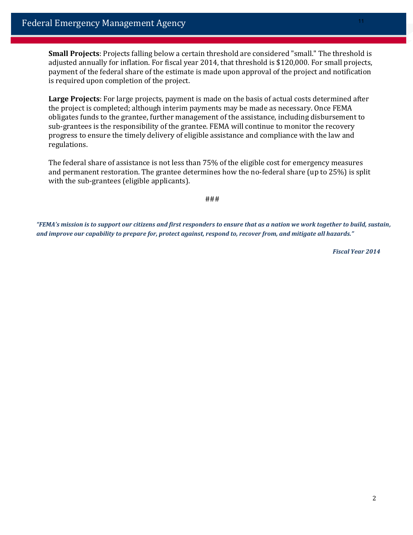**Small Projects**: Projects falling below a certain threshold are considered "small." The threshold is adjusted annually for inflation. For fiscal year 2014, that threshold is \$120,000. For small projects, payment of the federal share of the estimate is made upon approval of the project and notification is required upon completion of the project.

**Large Projects**: For large projects, payment is made on the basis of actual costs determined after the project is completed; although interim payments may be made as necessary. Once FEMA obligates funds to the grantee, further management of the assistance, including disbursement to sub-grantees is the responsibility of the grantee. FEMA will continue to monitor the recovery progress to ensure the timely delivery of eligible assistance and compliance with the law and regulations.

The federal share of assistance is not less than 75% of the eligible cost for emergency measures and permanent restoration. The grantee determines how the no-federal share (up to 25%) is split with the sub-grantees (eligible applicants).

###

*"FEMA's mission is to support our citizens and first responders to ensure that as a nation we work together to build, sustain, and improve our capability to prepare for, protect against, respond to, recover from, and mitigate all hazards."*

*Fiscal Year 2014*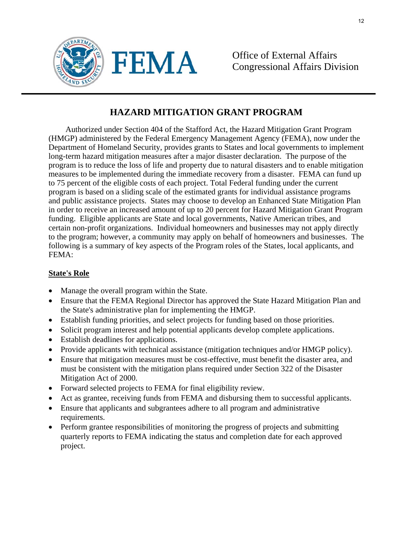



Office of External Affairs Congressional Affairs Division

## **HAZARD MITIGATION GRANT PROGRAM**

 Authorized under Section 404 of the Stafford Act, the Hazard Mitigation Grant Program (HMGP) administered by the Federal Emergency Management Agency (FEMA), now under the Department of Homeland Security, provides grants to States and local governments to implement long-term hazard mitigation measures after a major disaster declaration. The purpose of the program is to reduce the loss of life and property due to natural disasters and to enable mitigation measures to be implemented during the immediate recovery from a disaster. FEMA can fund up to 75 percent of the eligible costs of each project. Total Federal funding under the current program is based on a sliding scale of the estimated grants for individual assistance programs and public assistance projects. States may choose to develop an Enhanced State Mitigation Plan in order to receive an increased amount of up to 20 percent for Hazard Mitigation Grant Program funding. Eligible applicants are State and local governments, Native American tribes, and certain non-profit organizations. Individual homeowners and businesses may not apply directly to the program; however, a community may apply on behalf of homeowners and businesses. The following is a summary of key aspects of the Program roles of the States, local applicants, and FEMA:

#### **State's Role**

- Manage the overall program within the State.
- Ensure that the FEMA Regional Director has approved the State Hazard Mitigation Plan and the State's administrative plan for implementing the HMGP.
- Establish funding priorities, and select projects for funding based on those priorities.
- Solicit program interest and help potential applicants develop complete applications.
- Establish deadlines for applications.
- Provide applicants with technical assistance (mitigation techniques and/or HMGP policy).
- Ensure that mitigation measures must be cost-effective, must benefit the disaster area, and must be consistent with the mitigation plans required under Section 322 of the Disaster Mitigation Act of 2000.
- Forward selected projects to FEMA for final eligibility review.
- Act as grantee, receiving funds from FEMA and disbursing them to successful applicants.
- Ensure that applicants and subgrantees adhere to all program and administrative requirements.
- Perform grantee responsibilities of monitoring the progress of projects and submitting quarterly reports to FEMA indicating the status and completion date for each approved project.